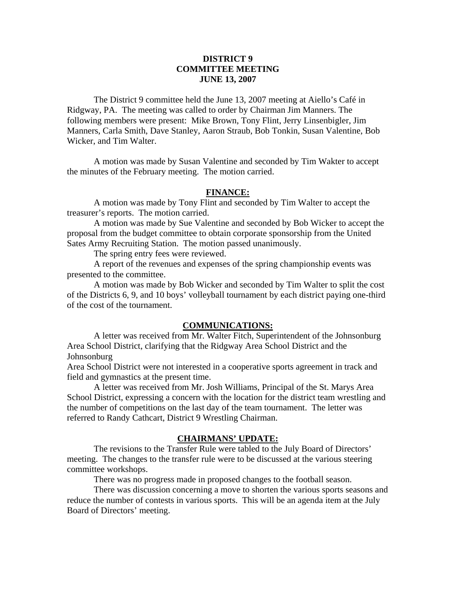### **DISTRICT 9 COMMITTEE MEETING JUNE 13, 2007**

 The District 9 committee held the June 13, 2007 meeting at Aiello's Café in Ridgway, PA. The meeting was called to order by Chairman Jim Manners. The following members were present: Mike Brown, Tony Flint, Jerry Linsenbigler, Jim Manners, Carla Smith, Dave Stanley, Aaron Straub, Bob Tonkin, Susan Valentine, Bob Wicker, and Tim Walter.

 A motion was made by Susan Valentine and seconded by Tim Wakter to accept the minutes of the February meeting. The motion carried.

#### **FINANCE:**

A motion was made by Tony Flint and seconded by Tim Walter to accept the treasurer's reports. The motion carried.

 A motion was made by Sue Valentine and seconded by Bob Wicker to accept the proposal from the budget committee to obtain corporate sponsorship from the United Sates Army Recruiting Station. The motion passed unanimously.

The spring entry fees were reviewed.

 A report of the revenues and expenses of the spring championship events was presented to the committee.

 A motion was made by Bob Wicker and seconded by Tim Walter to split the cost of the Districts 6, 9, and 10 boys' volleyball tournament by each district paying one-third of the cost of the tournament.

#### **COMMUNICATIONS:**

 A letter was received from Mr. Walter Fitch, Superintendent of the Johnsonburg Area School District, clarifying that the Ridgway Area School District and the Johnsonburg

Area School District were not interested in a cooperative sports agreement in track and field and gymnastics at the present time.

 A letter was received from Mr. Josh Williams, Principal of the St. Marys Area School District, expressing a concern with the location for the district team wrestling and the number of competitions on the last day of the team tournament. The letter was referred to Randy Cathcart, District 9 Wrestling Chairman.

#### **CHAIRMANS' UPDATE:**

 The revisions to the Transfer Rule were tabled to the July Board of Directors' meeting. The changes to the transfer rule were to be discussed at the various steering committee workshops.

There was no progress made in proposed changes to the football season.

 There was discussion concerning a move to shorten the various sports seasons and reduce the number of contests in various sports. This will be an agenda item at the July Board of Directors' meeting.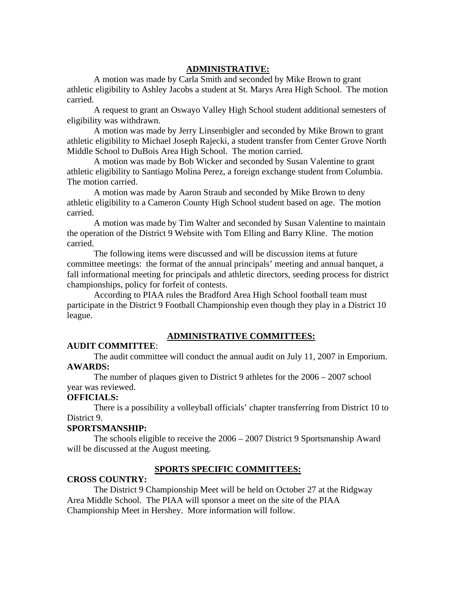### **ADMINISTRATIVE:**

A motion was made by Carla Smith and seconded by Mike Brown to grant athletic eligibility to Ashley Jacobs a student at St. Marys Area High School. The motion carried.

A request to grant an Oswayo Valley High School student additional semesters of eligibility was withdrawn.

A motion was made by Jerry Linsenbigler and seconded by Mike Brown to grant athletic eligibility to Michael Joseph Rajecki, a student transfer from Center Grove North Middle School to DuBois Area High School. The motion carried.

A motion was made by Bob Wicker and seconded by Susan Valentine to grant athletic eligibility to Santiago Molina Perez, a foreign exchange student from Columbia. The motion carried.

A motion was made by Aaron Straub and seconded by Mike Brown to deny athletic eligibility to a Cameron County High School student based on age. The motion carried.

A motion was made by Tim Walter and seconded by Susan Valentine to maintain the operation of the District 9 Website with Tom Elling and Barry Kline. The motion carried.

The following items were discussed and will be discussion items at future committee meetings: the format of the annual principals' meeting and annual banquet, a fall informational meeting for principals and athletic directors, seeding process for district championships, policy for forfeit of contests.

According to PIAA rules the Bradford Area High School football team must participate in the District 9 Football Championship even though they play in a District 10 league.

# **ADMINISTRATIVE COMMITTEES:**

### **AUDIT COMMITTEE**:

 The audit committee will conduct the annual audit on July 11, 2007 in Emporium. **AWARDS:** 

 The number of plaques given to District 9 athletes for the 2006 – 2007 school year was reviewed.

### **OFFICIALS:**

 There is a possibility a volleyball officials' chapter transferring from District 10 to District 9.

### **SPORTSMANSHIP:**

 The schools eligible to receive the 2006 – 2007 District 9 Sportsmanship Award will be discussed at the August meeting.

# **SPORTS SPECIFIC COMMITTEES:**

# **CROSS COUNTRY:**

The District 9 Championship Meet will be held on October 27 at the Ridgway Area Middle School. The PIAA will sponsor a meet on the site of the PIAA Championship Meet in Hershey. More information will follow.